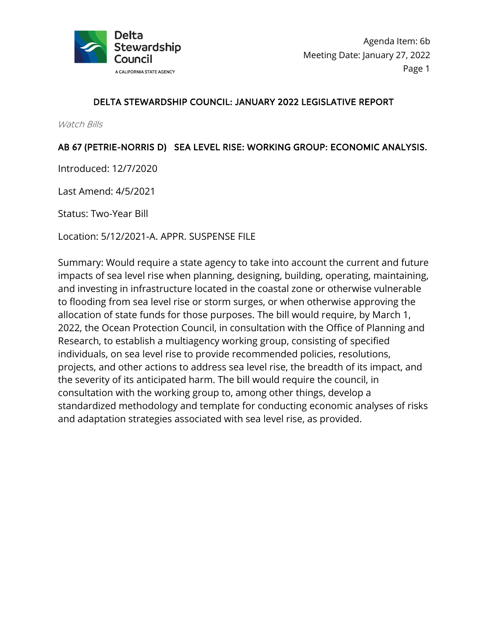

# DELTA STEWARDSHIP COUNCIL: JANUARY 2022 LEGISLATIVE REPORT

Watch Bills

# AB 67 (PETRIE-NORRIS D) SEA LEVEL RISE: WORKING GROUP: ECONOMIC ANALYSIS.

Introduced: 12/7/2020

Last Amend: 4/5/2021

Status: Two-Year Bill

Location: 5/12/2021-A. APPR. SUSPENSE FILE

Summary: Would require a state agency to take into account the current and future impacts of sea level rise when planning, designing, building, operating, maintaining, and investing in infrastructure located in the coastal zone or otherwise vulnerable to flooding from sea level rise or storm surges, or when otherwise approving the allocation of state funds for those purposes. The bill would require, by March 1, 2022, the Ocean Protection Council, in consultation with the Office of Planning and Research, to establish a multiagency working group, consisting of specified individuals, on sea level rise to provide recommended policies, resolutions, projects, and other actions to address sea level rise, the breadth of its impact, and the severity of its anticipated harm. The bill would require the council, in consultation with the working group to, among other things, develop a standardized methodology and template for conducting economic analyses of risks and adaptation strategies associated with sea level rise, as provided.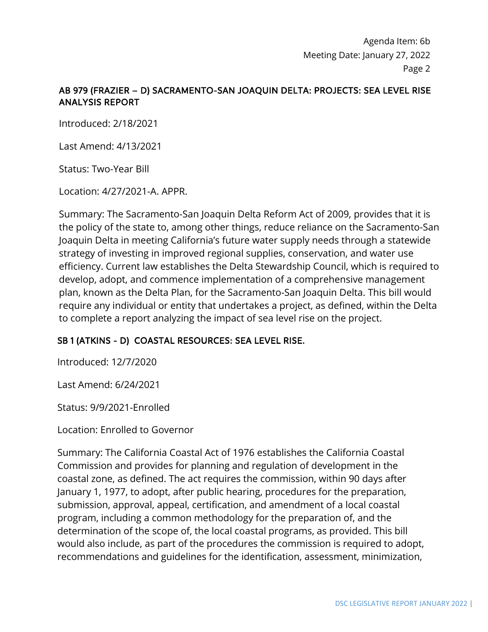# AB 979 (FRAZIER – D) SACRAMENTO-SAN JOAQUIN DELTA: PROJECTS: SEA LEVEL RISE ANALYSIS REPORT

Introduced: 2/18/2021

Last Amend: 4/13/2021

Status: Two-Year Bill

Location: 4/27/2021-A. APPR.

Summary: The Sacramento-San Joaquin Delta Reform Act of 2009, provides that it is the policy of the state to, among other things, reduce reliance on the Sacramento-San Joaquin Delta in meeting California's future water supply needs through a statewide strategy of investing in improved regional supplies, conservation, and water use efficiency. Current law establishes the Delta Stewardship Council, which is required to develop, adopt, and commence implementation of a comprehensive management plan, known as the Delta Plan, for the Sacramento-San Joaquin Delta. This bill would require any individual or entity that undertakes a project, as defined, within the Delta to complete a report analyzing the impact of sea level rise on the project.

### SB 1 (ATKINS - D) COASTAL RESOURCES: SEA LEVEL RISE.

Introduced: 12/7/2020

Last Amend: 6/24/2021

Status: 9/9/2021-Enrolled

Location: Enrolled to Governor

Summary: The California Coastal Act of 1976 establishes the California Coastal Commission and provides for planning and regulation of development in the coastal zone, as defined. The act requires the commission, within 90 days after January 1, 1977, to adopt, after public hearing, procedures for the preparation, submission, approval, appeal, certification, and amendment of a local coastal program, including a common methodology for the preparation of, and the determination of the scope of, the local coastal programs, as provided. This bill would also include, as part of the procedures the commission is required to adopt, recommendations and guidelines for the identification, assessment, minimization,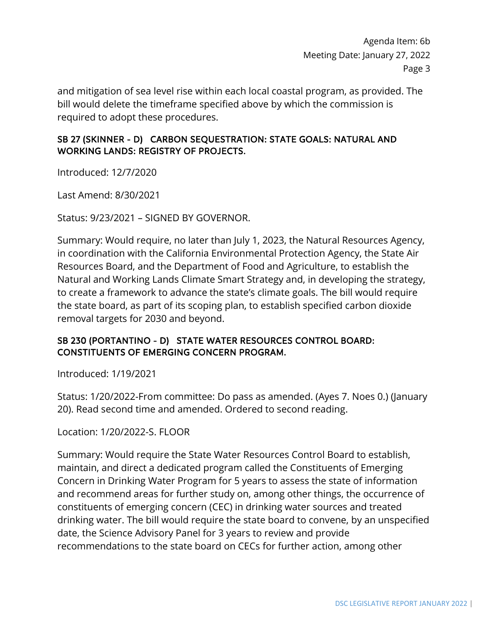and mitigation of sea level rise within each local coastal program, as provided. The bill would delete the timeframe specified above by which the commission is required to adopt these procedures.

### SB 27 (SKINNER - D) CARBON SEQUESTRATION: STATE GOALS: NATURAL AND WORKING LANDS: REGISTRY OF PROJECTS.

Introduced: 12/7/2020

Last Amend: 8/30/2021

Status: 9/23/2021 – SIGNED BY GOVERNOR.

Summary: Would require, no later than July 1, 2023, the Natural Resources Agency, in coordination with the California Environmental Protection Agency, the State Air Resources Board, and the Department of Food and Agriculture, to establish the Natural and Working Lands Climate Smart Strategy and, in developing the strategy, to create a framework to advance the state's climate goals. The bill would require the state board, as part of its scoping plan, to establish specified carbon dioxide removal targets for 2030 and beyond.

### SB 230 (PORTANTINO - D) STATE WATER RESOURCES CONTROL BOARD: CONSTITUENTS OF EMERGING CONCERN PROGRAM.

Introduced: 1/19/2021

Status: 1/20/2022-From committee: Do pass as amended. (Ayes 7. Noes 0.) (January 20). Read second time and amended. Ordered to second reading.

Location: 1/20/2022-S. FLOOR

Summary: Would require the State Water Resources Control Board to establish, maintain, and direct a dedicated program called the Constituents of Emerging Concern in Drinking Water Program for 5 years to assess the state of information and recommend areas for further study on, among other things, the occurrence of constituents of emerging concern (CEC) in drinking water sources and treated drinking water. The bill would require the state board to convene, by an unspecified date, the Science Advisory Panel for 3 years to review and provide recommendations to the state board on CECs for further action, among other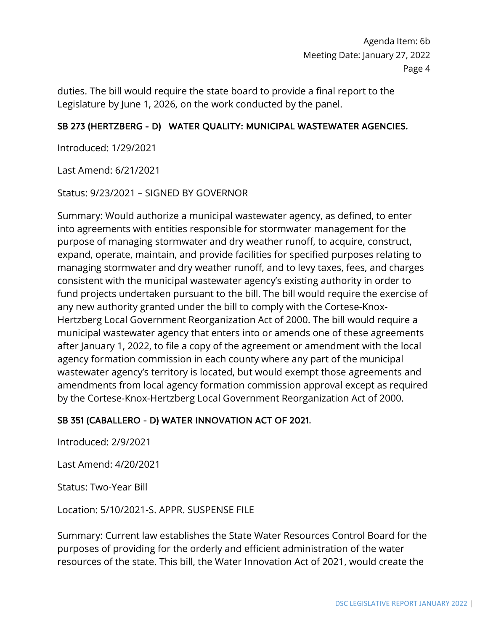duties. The bill would require the state board to provide a final report to the Legislature by June 1, 2026, on the work conducted by the panel.

### SB 273 (HERTZBERG - D) WATER QUALITY: MUNICIPAL WASTEWATER AGENCIES.

Introduced: 1/29/2021

Last Amend: 6/21/2021

Status: 9/23/2021 – SIGNED BY GOVERNOR

Summary: Would authorize a municipal wastewater agency, as defined, to enter into agreements with entities responsible for stormwater management for the purpose of managing stormwater and dry weather runoff, to acquire, construct, expand, operate, maintain, and provide facilities for specified purposes relating to managing stormwater and dry weather runoff, and to levy taxes, fees, and charges consistent with the municipal wastewater agency's existing authority in order to fund projects undertaken pursuant to the bill. The bill would require the exercise of any new authority granted under the bill to comply with the Cortese-Knox-Hertzberg Local Government Reorganization Act of 2000. The bill would require a municipal wastewater agency that enters into or amends one of these agreements after January 1, 2022, to file a copy of the agreement or amendment with the local agency formation commission in each county where any part of the municipal wastewater agency's territory is located, but would exempt those agreements and amendments from local agency formation commission approval except as required by the Cortese-Knox-Hertzberg Local Government Reorganization Act of 2000.

#### SB 351 (CABALLERO - D) WATER INNOVATION ACT OF 2021.

Introduced: 2/9/2021

Last Amend: 4/20/2021

Status: Two-Year Bill

Location: 5/10/2021-S. APPR. SUSPENSE FILE

Summary: Current law establishes the State Water Resources Control Board for the purposes of providing for the orderly and efficient administration of the water resources of the state. This bill, the Water Innovation Act of 2021, would create the